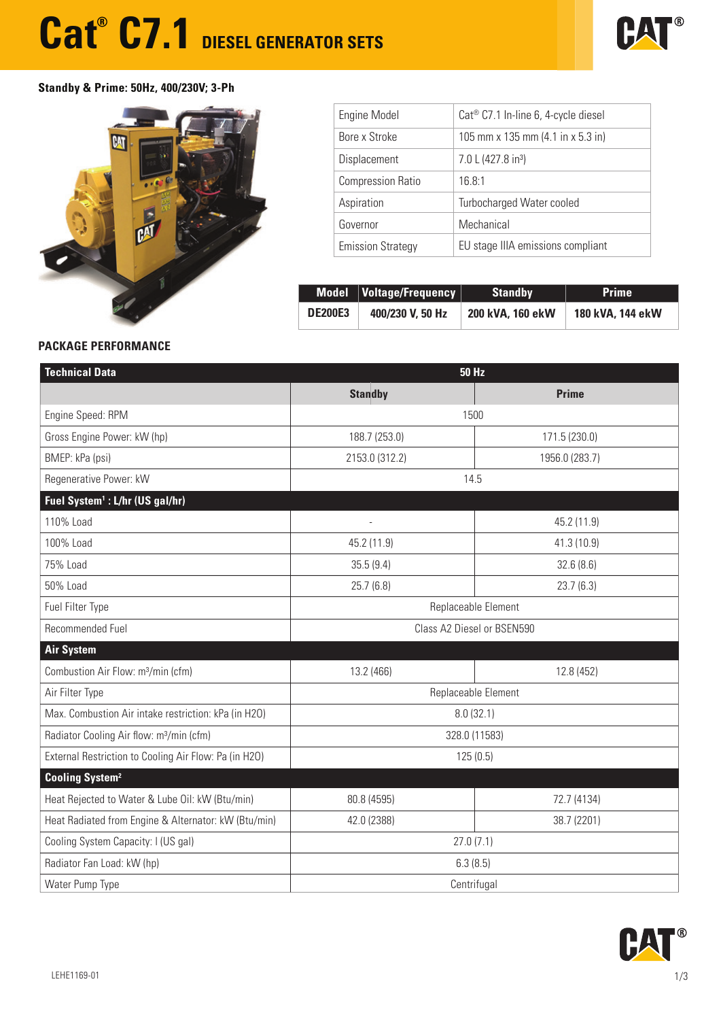## **Cat<sup>®</sup> C7.1** DIESEL GENERATOR SETS



### **Standby & Prime: 50Hz, 400/230V; 3-Ph**



| <b>Engine Model</b>      | Cat <sup>®</sup> C7.1 In-line 6, 4-cycle diesel      |
|--------------------------|------------------------------------------------------|
| Bore x Stroke            | 105 mm x 135 mm $(4.1 \text{ in } x 5.3 \text{ in})$ |
| Displacement             | 7.0 L (427.8 in <sup>3</sup> )                       |
| <b>Compression Ratio</b> | 16.8:1                                               |
| Aspiration               | Turbocharged Water cooled                            |
| Governor                 | Mechanical                                           |
| <b>Emission Strategy</b> | EU stage IIIA emissions compliant                    |

|                | Model   Voltage/Frequency | <b>Standby</b>   | <b>Prime</b>     |
|----------------|---------------------------|------------------|------------------|
| <b>DE200E3</b> | 400/230 V, 50 Hz          | 200 kVA, 160 ekW | 180 kVA, 144 ekW |

### **PACKAGE PERFORMANCE**

| <b>Technical Data</b>                                 | <b>50 Hz</b>               |                |  |
|-------------------------------------------------------|----------------------------|----------------|--|
|                                                       | <b>Standby</b>             | <b>Prime</b>   |  |
| Engine Speed: RPM                                     | 1500                       |                |  |
| Gross Engine Power: kW (hp)                           | 188.7 (253.0)              | 171.5 (230.0)  |  |
| BMEP: kPa (psi)                                       | 2153.0 (312.2)             | 1956.0 (283.7) |  |
| Regenerative Power: kW                                | 14.5                       |                |  |
| Fuel System <sup>1</sup> : L/hr (US gal/hr)           |                            |                |  |
| 110% Load                                             |                            | 45.2 (11.9)    |  |
| 100% Load                                             | 45.2 (11.9)                | 41.3 (10.9)    |  |
| 75% Load                                              | 35.5(9.4)                  | 32.6(8.6)      |  |
| 50% Load                                              | 25.7(6.8)                  | 23.7(6.3)      |  |
| Fuel Filter Type                                      | Replaceable Element        |                |  |
| Recommended Fuel                                      | Class A2 Diesel or BSEN590 |                |  |
| <b>Air System</b>                                     |                            |                |  |
| Combustion Air Flow: m <sup>3</sup> /min (cfm)        | 13.2 (466)                 | 12.8 (452)     |  |
| Air Filter Type                                       | Replaceable Element        |                |  |
| Max. Combustion Air intake restriction: kPa (in H2O)  | 8.0(32.1)                  |                |  |
| Radiator Cooling Air flow: m <sup>3</sup> /min (cfm)  | 328.0 (11583)              |                |  |
| External Restriction to Cooling Air Flow: Pa (in H2O) | 125(0.5)                   |                |  |
| <b>Cooling System<sup>2</sup></b>                     |                            |                |  |
| Heat Rejected to Water & Lube Oil: kW (Btu/min)       | 80.8 (4595)                | 72.7 (4134)    |  |
| Heat Radiated from Engine & Alternator: kW (Btu/min)  | 42.0 (2388)<br>38.7 (2201) |                |  |
| Cooling System Capacity: I (US gal)                   | 27.0(7.1)                  |                |  |
| Radiator Fan Load: kW (hp)                            | 6.3(8.5)                   |                |  |
| Water Pump Type                                       | Centrifugal                |                |  |

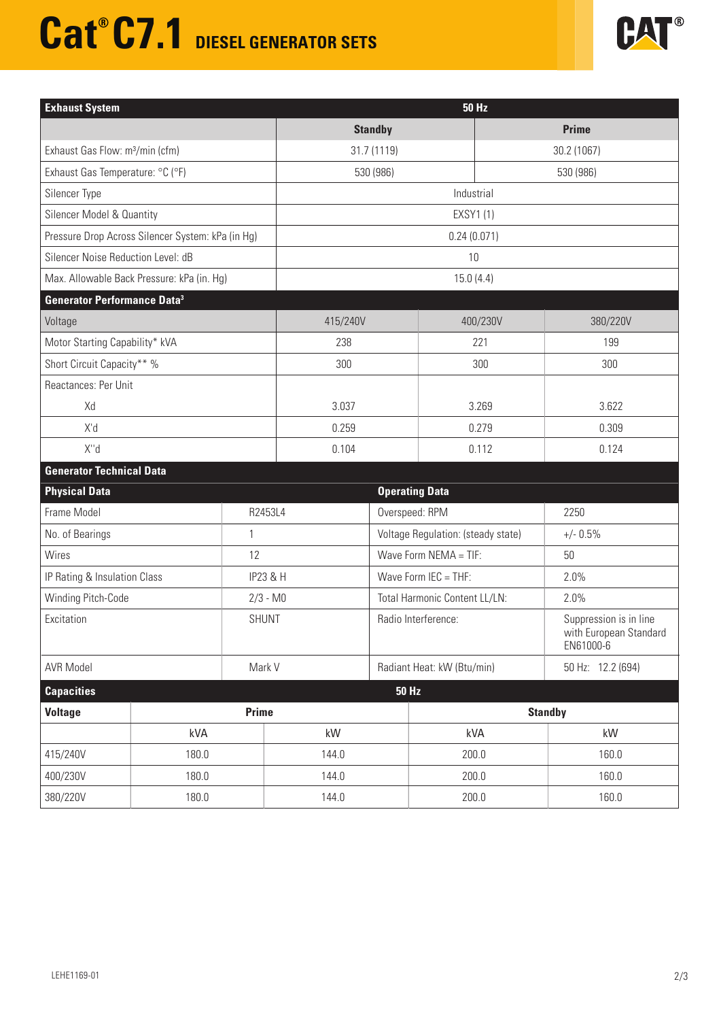# **Cat<sup>®</sup> C7.1** DIESEL GENERATOR SETS



| <b>Exhaust System</b>                       |                                                     | <b>50 Hz</b> |                               |                                    |                                                               |  |  |
|---------------------------------------------|-----------------------------------------------------|--------------|-------------------------------|------------------------------------|---------------------------------------------------------------|--|--|
|                                             |                                                     |              | <b>Standby</b>                |                                    | <b>Prime</b>                                                  |  |  |
| Exhaust Gas Flow: m <sup>3</sup> /min (cfm) |                                                     |              | 31.7 (1119)                   |                                    | 30.2 (1067)                                                   |  |  |
| Exhaust Gas Temperature: °C (°F)            |                                                     |              | 530 (986)                     |                                    | 530 (986)                                                     |  |  |
| Silencer Type                               |                                                     |              | Industrial                    |                                    |                                                               |  |  |
| <b>Silencer Model &amp; Quantity</b>        |                                                     |              | <b>EXSY1(1)</b>               |                                    |                                                               |  |  |
|                                             | Pressure Drop Across Silencer System: kPa (in Hg)   |              | 0.24(0.071)                   |                                    |                                                               |  |  |
|                                             | Silencer Noise Reduction Level: dB                  |              | 10                            |                                    |                                                               |  |  |
| Max. Allowable Back Pressure: kPa (in. Hg)  |                                                     |              | 15.0(4.4)                     |                                    |                                                               |  |  |
| <b>Generator Performance Data3</b>          |                                                     |              |                               |                                    |                                                               |  |  |
| Voltage                                     |                                                     | 415/240V     |                               | 400/230V                           | 380/220V                                                      |  |  |
| Motor Starting Capability* kVA              |                                                     | 238          |                               | 221                                | 199                                                           |  |  |
| Short Circuit Capacity** %                  |                                                     | 300          |                               | 300                                | 300                                                           |  |  |
| Reactances: Per Unit                        |                                                     |              |                               |                                    |                                                               |  |  |
| Xd                                          |                                                     | 3.037        |                               | 3.269                              | 3.622                                                         |  |  |
| X'd                                         |                                                     | 0.259        |                               | 0.279                              | 0.309                                                         |  |  |
| X"d                                         |                                                     | 0.104        |                               | 0.112                              | 0.124                                                         |  |  |
| <b>Generator Technical Data</b>             |                                                     |              |                               |                                    |                                                               |  |  |
| <b>Physical Data</b>                        | <b>Operating Data</b>                               |              |                               |                                    |                                                               |  |  |
| Frame Model                                 |                                                     | R2453L4      |                               | Overspeed: RPM                     | 2250                                                          |  |  |
| No. of Bearings                             | 1                                                   |              |                               | Voltage Regulation: (steady state) | $+/- 0.5%$                                                    |  |  |
| Wires                                       | 12                                                  |              | Wave Form NEMA = TIF:         |                                    | 50                                                            |  |  |
|                                             | IP Rating & Insulation Class<br><b>IP23 &amp; H</b> |              | Wave Form IEC = THF:          |                                    | 2.0%                                                          |  |  |
|                                             | Winding Pitch-Code<br>$2/3 - M0$                    |              | Total Harmonic Content LL/LN: |                                    | 2.0%                                                          |  |  |
| Excitation<br><b>SHUNT</b>                  |                                                     |              | Radio Interference:           |                                    | Suppression is in line<br>with European Standard<br>EN61000-6 |  |  |
| Mark V<br><b>AVR Model</b>                  |                                                     |              | Radiant Heat: kW (Btu/min)    |                                    | 50 Hz: 12.2 (694)                                             |  |  |
| <b>Capacities</b>                           |                                                     |              | <b>50 Hz</b>                  |                                    |                                                               |  |  |
| <b>Voltage</b>                              | Prime                                               |              |                               |                                    | <b>Standby</b>                                                |  |  |
|                                             | kVA                                                 | kW           |                               | kVA                                | kW                                                            |  |  |
| 415/240V                                    | 180.0                                               | 144.0        |                               | 200.0                              | 160.0                                                         |  |  |
| 400/230V                                    | 180.0                                               | 144.0        |                               | 200.0                              | 160.0                                                         |  |  |
| 380/220V                                    | 180.0<br>144.0                                      |              |                               | 200.0                              | 160.0                                                         |  |  |